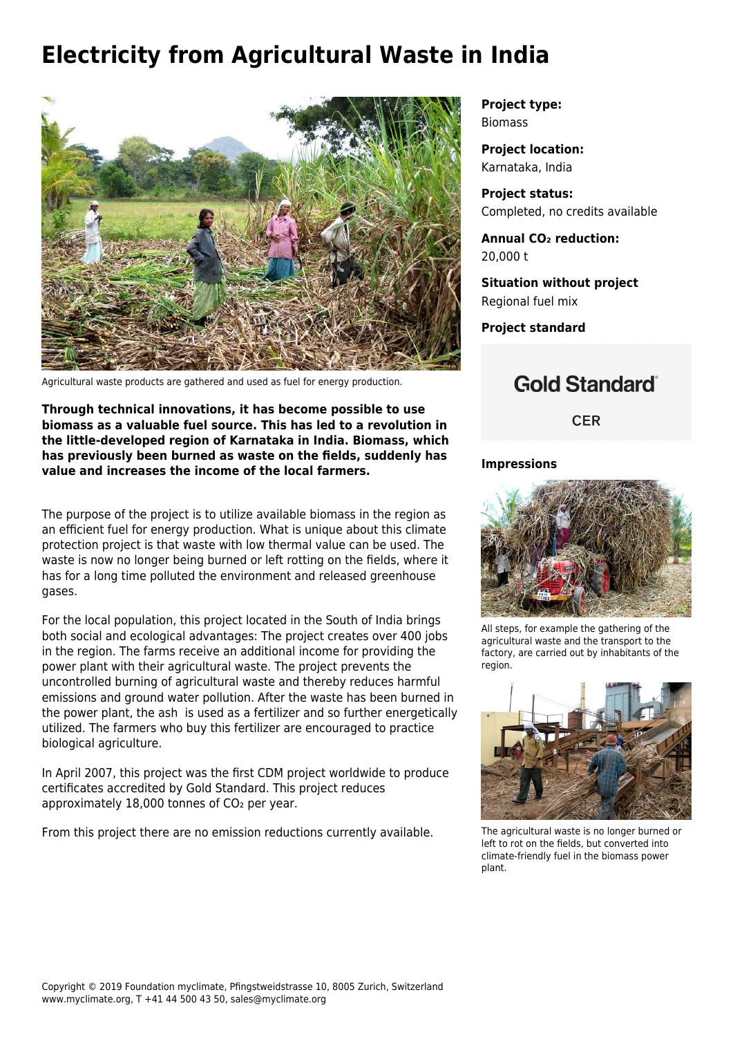## **Electricity from Agricultural Waste in India**



Agricultural waste products are gathered and used as fuel for energy production.

**Through technical innovations, it has become possible to use biomass as a valuable fuel source. This has led to a revolution in the little-developed region of Karnataka in India. Biomass, which has previously been burned as waste on the fields, suddenly has value and increases the income of the local farmers.**

The purpose of the project is to utilize available biomass in the region as an efficient fuel for energy production. What is unique about this climate protection project is that waste with low thermal value can be used. The waste is now no longer being burned or left rotting on the fields, where it has for a long time polluted the environment and released greenhouse gases.

For the local population, this project located in the South of India brings both social and ecological advantages: The project creates over 400 jobs in the region. The farms receive an additional income for providing the power plant with their agricultural waste. The project prevents the uncontrolled burning of agricultural waste and thereby reduces harmful emissions and ground water pollution. After the waste has been burned in the power plant, the ash is used as a fertilizer and so further energetically utilized. The farmers who buy this fertilizer are encouraged to practice biological agriculture.

In April 2007, this project was the first [CDM project](https://cdm.unfccc.int/about/index.html) worldwide to produce certificates accredited by [Gold Standard.](https://www.goldstandard.org/) This project reduces approximately 18,000 tonnes of CO<sub>2</sub> per year.

From this project there are no emission reductions currently available.

**Project type:** Biomass

**Project location:** Karnataka, India

**Project status:** Completed, no credits available

**Annual CO₂ reduction:** 20,000 t

**Situation without project** Regional fuel mix

**Project standard**

## **Gold Standard**®

**CER** 

## **Impressions**



All steps, for example the gathering of the agricultural waste and the transport to the factory, are carried out by inhabitants of the region.



The agricultural waste is no longer burned or left to rot on the fields, but converted into climate-friendly fuel in the biomass power plant.